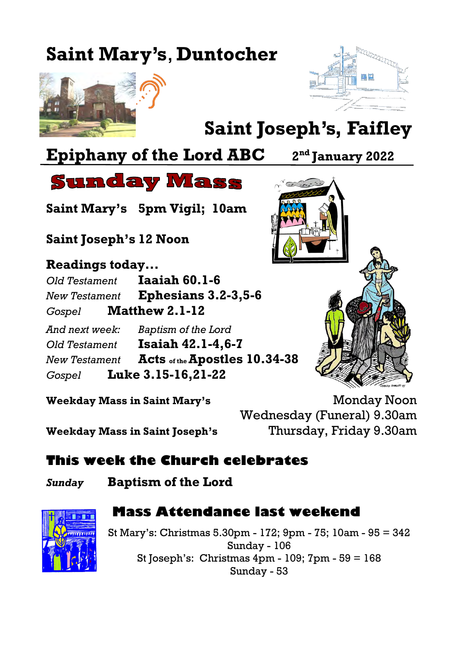# **Saint Mary's**, **Duntocher**





# **Saint Joseph's, Faifley**

# **Epiphany of the Lord ABC 2**

**nd January 2022**

**Sunday Mass** 

**Saint Mary's 5pm Vigil; 10am**

**Saint Joseph's 12 Noon**

**Readings today...**

*Old Testament* **Iaaiah 60.1-6** *New Testament* **Ephesians 3.2-3,5-6** *Gospel* **Matthew 2.1-12** *And next week: Baptism of the Lord*

*Old Testament* **Isaiah 42.1-4,6-7** *New Testament* **Acts of the Apostles 10.34-38** *Gospel* **Luke 3.15-16,21-22**



**Weekday Mass in Saint Mary's Monday Noon** Wednesday (Funeral) 9.30am **Weekday Mass in Saint Joseph's** Thursday, Friday 9.30am

### **This week the Church celebrates**

*Sunday* **Baptism of the Lord**

#### **Mass Attendance last weekend**

St Mary's: Christmas 5.30pm - 172; 9pm - 75; 10am - 95 = 342 Sunday - 106 St Joseph's: Christmas 4pm - 109; 7pm - 59 = 168 Sunday - 53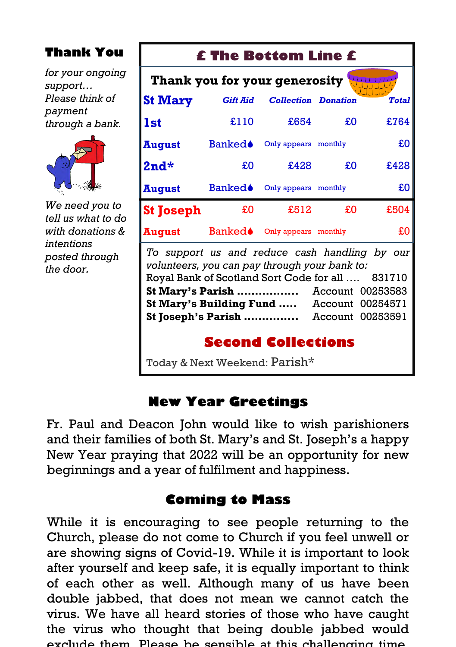#### **Thank You**

*for your ongoing support… Please think of payment through a bank.*



*We need you to tell us what to do with donations & intentions posted through the door.*

## **£ The Bottom Line £ St Mary** *Gift Aid Collection Donation Total* **1st** £110 £654 £0 £764 **August** Banked<sup>o</sup> Only appears monthly **£0 2nd\*** £0 £428 £0 £428 **August** Banked<sup>o</sup> Only appears monthly **EQ St Joseph**  $\text{\pounds}0$   $\text{\pounds}512$   $\text{\pounds}0$   $\text{\pounds}504$ **August** Banked<sup>•</sup> Only appears monthly **£0 Thank you for your generosity** *To support us and reduce cash handling by our volunteers, you can pay through your bank to:* Royal Bank of Scotland Sort Code for all …. 831710 **St Mary's Parish ……………..** Account 00253583 **St Mary's Building Fund …..** Account 00254571 **St Joseph's Parish …………...** Account 00253591 **Second Collections**

Today & Next Weekend: Parish\*

#### **New Year Greetings**

Fr. Paul and Deacon John would like to wish parishioners and their families of both St. Mary's and St. Joseph's a happy New Year praying that 2022 will be an opportunity for new beginnings and a year of fulfilment and happiness.

#### **Coming to Mass**

While it is encouraging to see people returning to the Church, please do not come to Church if you feel unwell or are showing signs of Covid-19. While it is important to look after yourself and keep safe, it is equally important to think of each other as well. Although many of us have been double jabbed, that does not mean we cannot catch the virus. We have all heard stories of those who have caught the virus who thought that being double jabbed would exclude them. Please be sensible at this challenging time.